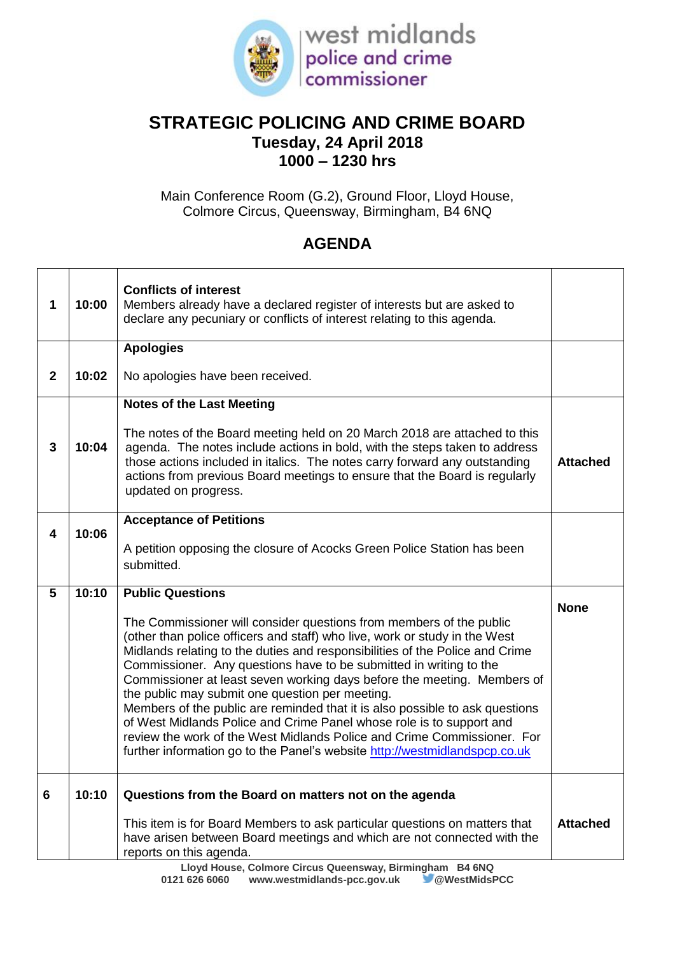

## **STRATEGIC POLICING AND CRIME BOARD Tuesday, 24 April 2018 1000 – 1230 hrs**

Main Conference Room (G.2), Ground Floor, Lloyd House, Colmore Circus, Queensway, Birmingham, B4 6NQ

## **AGENDA**

| 1            | 10:00 | <b>Conflicts of interest</b><br>Members already have a declared register of interests but are asked to<br>declare any pecuniary or conflicts of interest relating to this agenda.                                                                                                                                                                                                                                                                                                                                                                                                                                                                                                                                                                      |                 |
|--------------|-------|--------------------------------------------------------------------------------------------------------------------------------------------------------------------------------------------------------------------------------------------------------------------------------------------------------------------------------------------------------------------------------------------------------------------------------------------------------------------------------------------------------------------------------------------------------------------------------------------------------------------------------------------------------------------------------------------------------------------------------------------------------|-----------------|
|              |       | <b>Apologies</b>                                                                                                                                                                                                                                                                                                                                                                                                                                                                                                                                                                                                                                                                                                                                       |                 |
| $\mathbf{2}$ | 10:02 | No apologies have been received.                                                                                                                                                                                                                                                                                                                                                                                                                                                                                                                                                                                                                                                                                                                       |                 |
|              |       | <b>Notes of the Last Meeting</b>                                                                                                                                                                                                                                                                                                                                                                                                                                                                                                                                                                                                                                                                                                                       |                 |
| 3            | 10:04 | The notes of the Board meeting held on 20 March 2018 are attached to this<br>agenda. The notes include actions in bold, with the steps taken to address<br>those actions included in italics. The notes carry forward any outstanding<br>actions from previous Board meetings to ensure that the Board is regularly<br>updated on progress.                                                                                                                                                                                                                                                                                                                                                                                                            | <b>Attached</b> |
|              |       | <b>Acceptance of Petitions</b>                                                                                                                                                                                                                                                                                                                                                                                                                                                                                                                                                                                                                                                                                                                         |                 |
| 4            | 10:06 | A petition opposing the closure of Acocks Green Police Station has been<br>submitted.                                                                                                                                                                                                                                                                                                                                                                                                                                                                                                                                                                                                                                                                  |                 |
| 5            | 10:10 | <b>Public Questions</b>                                                                                                                                                                                                                                                                                                                                                                                                                                                                                                                                                                                                                                                                                                                                |                 |
|              |       | The Commissioner will consider questions from members of the public<br>(other than police officers and staff) who live, work or study in the West<br>Midlands relating to the duties and responsibilities of the Police and Crime<br>Commissioner. Any questions have to be submitted in writing to the<br>Commissioner at least seven working days before the meeting. Members of<br>the public may submit one question per meeting.<br>Members of the public are reminded that it is also possible to ask questions<br>of West Midlands Police and Crime Panel whose role is to support and<br>review the work of the West Midlands Police and Crime Commissioner. For<br>further information go to the Panel's website http://westmidlandspcp.co.uk | <b>None</b>     |
| 6            | 10:10 | Questions from the Board on matters not on the agenda                                                                                                                                                                                                                                                                                                                                                                                                                                                                                                                                                                                                                                                                                                  |                 |
|              |       | This item is for Board Members to ask particular questions on matters that<br>have arisen between Board meetings and which are not connected with the<br>reports on this agenda.<br>Colmone Circus Queenquey Disminshom D4 CNO                                                                                                                                                                                                                                                                                                                                                                                                                                                                                                                         | <b>Attached</b> |